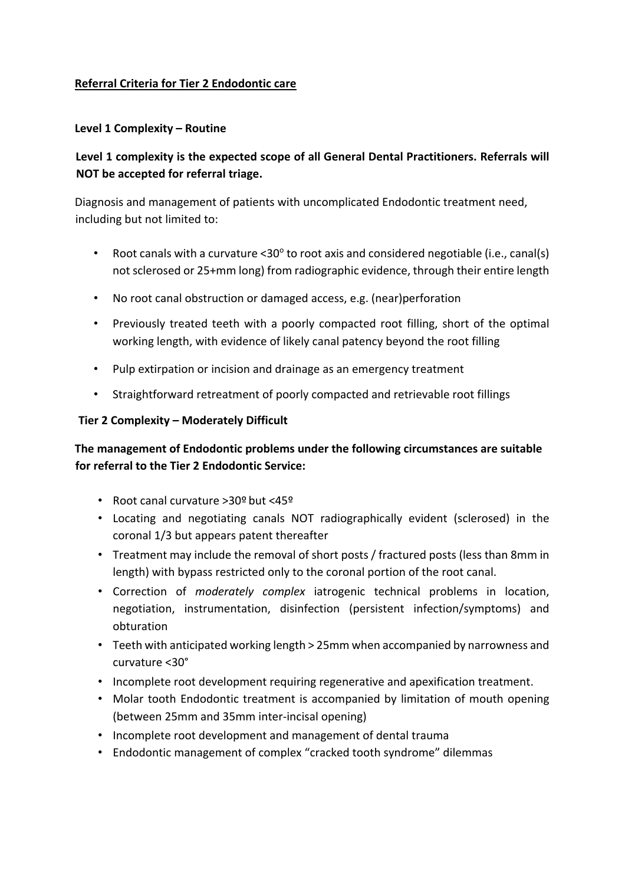## **Referral Criteria for Tier 2 Endodontic care**

## **Level 1 Complexity – Routine**

# **Level 1 complexity is the expected scope of all General Dental Practitioners. Referrals will NOT be accepted for referral triage.**

Diagnosis and management of patients with uncomplicated Endodontic treatment need, including but not limited to:

- Root canals with a curvature  $\leq 30^\circ$  to root axis and considered negotiable (i.e., canal(s) not sclerosed or 25+mm long) from radiographic evidence, through their entire length
- No root canal obstruction or damaged access, e.g. (near)perforation
- Previously treated teeth with a poorly compacted root filling, short of the optimal working length, with evidence of likely canal patency beyond the root filling
- Pulp extirpation or incision and drainage as an emergency treatment
- Straightforward retreatment of poorly compacted and retrievable root fillings

## **Tier 2 Complexity – Moderately Difficult**

## **The management of Endodontic problems under the following circumstances are suitable for referral to the Tier 2 Endodontic Service:**

- Root canal curvature >30º but <45º
- Locating and negotiating canals NOT radiographically evident (sclerosed) in the coronal 1/3 but appears patent thereafter
- Treatment may include the removal of short posts / fractured posts (less than 8mm in length) with bypass restricted only to the coronal portion of the root canal.
- Correction of *moderately complex* iatrogenic technical problems in location, negotiation, instrumentation, disinfection (persistent infection/symptoms) and obturation
- Teeth with anticipated working length > 25mm when accompanied by narrowness and curvature <30°
- Incomplete root development requiring regenerative and apexification treatment.
- Molar tooth Endodontic treatment is accompanied by limitation of mouth opening (between 25mm and 35mm inter-incisal opening)
- Incomplete root development and management of dental trauma
- Endodontic management of complex "cracked tooth syndrome" dilemmas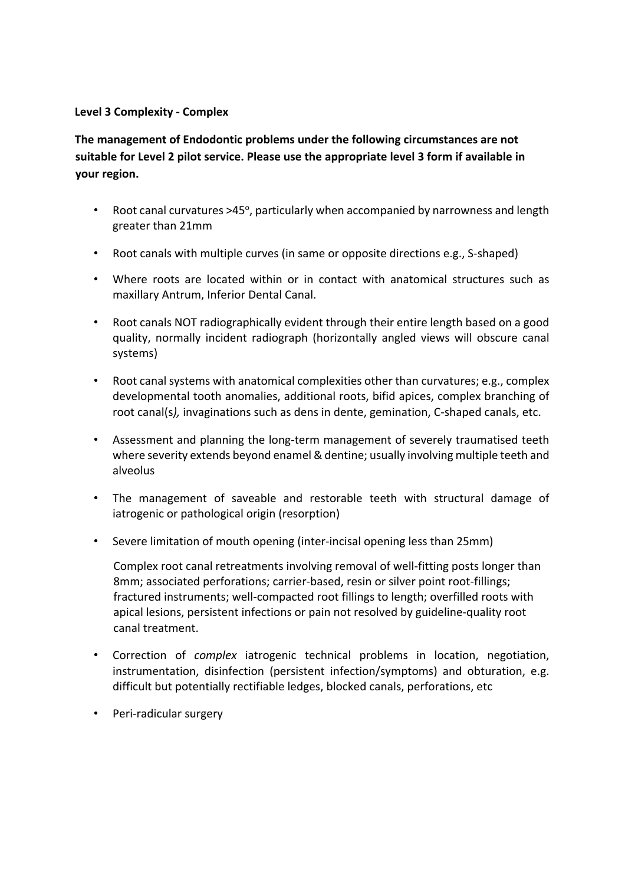### **Level 3 Complexity - Complex**

**The management of Endodontic problems under the following circumstances are not suitable for Level 2 pilot service. Please use the appropriate level 3 form if available in your region.** 

- Root canal curvatures  $>45^\circ$ , particularly when accompanied by narrowness and length greater than 21mm
- Root canals with multiple curves (in same or opposite directions e.g., S-shaped)
- Where roots are located within or in contact with anatomical structures such as maxillary Antrum, Inferior Dental Canal.
- Root canals NOT radiographically evident through their entire length based on a good quality, normally incident radiograph (horizontally angled views will obscure canal systems)
- Root canal systems with anatomical complexities other than curvatures; e.g., complex developmental tooth anomalies, additional roots, bifid apices, complex branching of root canal(s*),* invaginations such as dens in dente, gemination, C-shaped canals, etc.
- Assessment and planning the long-term management of severely traumatised teeth where severity extends beyond enamel & dentine; usually involving multiple teeth and alveolus
- The management of saveable and restorable teeth with structural damage of iatrogenic or pathological origin (resorption)
- Severe limitation of mouth opening (inter-incisal opening less than 25mm)

Complex root canal retreatments involving removal of well-fitting posts longer than 8mm; associated perforations; carrier-based, resin or silver point root-fillings; fractured instruments; well-compacted root fillings to length; overfilled roots with apical lesions, persistent infections or pain not resolved by guideline-quality root canal treatment.

- Correction of *complex* iatrogenic technical problems in location, negotiation, instrumentation, disinfection (persistent infection/symptoms) and obturation, e.g. difficult but potentially rectifiable ledges, blocked canals, perforations, etc
- Peri-radicular surgery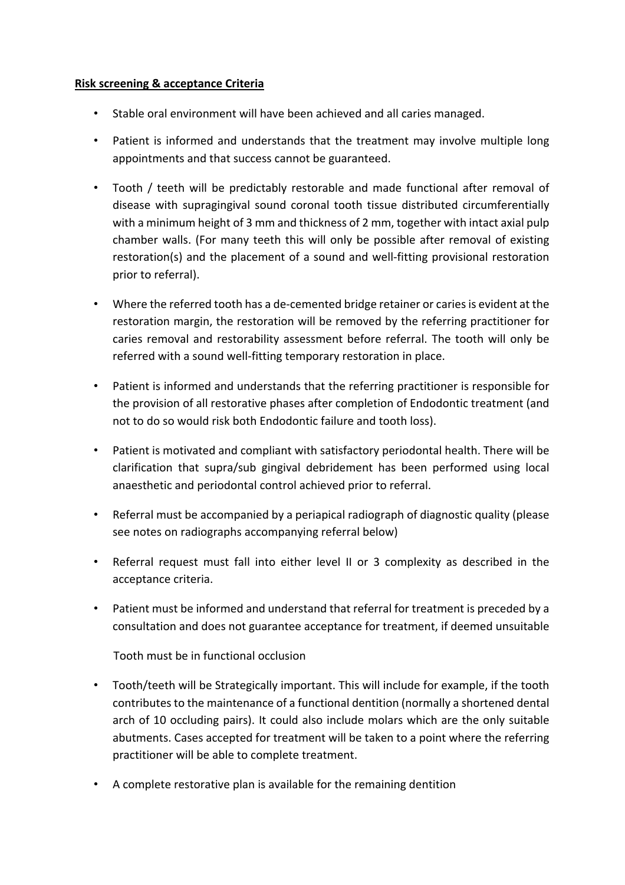### **Risk screening & acceptance Criteria**

- Stable oral environment will have been achieved and all caries managed.
- Patient is informed and understands that the treatment may involve multiple long appointments and that success cannot be guaranteed.
- Tooth / teeth will be predictably restorable and made functional after removal of disease with supragingival sound coronal tooth tissue distributed circumferentially with a minimum height of 3 mm and thickness of 2 mm, together with intact axial pulp chamber walls. (For many teeth this will only be possible after removal of existing restoration(s) and the placement of a sound and well-fitting provisional restoration prior to referral).
- Where the referred tooth has a de-cemented bridge retainer or caries is evident at the restoration margin, the restoration will be removed by the referring practitioner for caries removal and restorability assessment before referral. The tooth will only be referred with a sound well-fitting temporary restoration in place.
- Patient is informed and understands that the referring practitioner is responsible for the provision of all restorative phases after completion of Endodontic treatment (and not to do so would risk both Endodontic failure and tooth loss).
- Patient is motivated and compliant with satisfactory periodontal health. There will be clarification that supra/sub gingival debridement has been performed using local anaesthetic and periodontal control achieved prior to referral.
- Referral must be accompanied by a periapical radiograph of diagnostic quality (please see notes on radiographs accompanying referral below)
- Referral request must fall into either level II or 3 complexity as described in the acceptance criteria.
- Patient must be informed and understand that referral for treatment is preceded by a consultation and does not guarantee acceptance for treatment, if deemed unsuitable

Tooth must be in functional occlusion

- Tooth/teeth will be Strategically important. This will include for example, if the tooth contributes to the maintenance of a functional dentition (normally a shortened dental arch of 10 occluding pairs). It could also include molars which are the only suitable abutments. Cases accepted for treatment will be taken to a point where the referring practitioner will be able to complete treatment.
- A complete restorative plan is available for the remaining dentition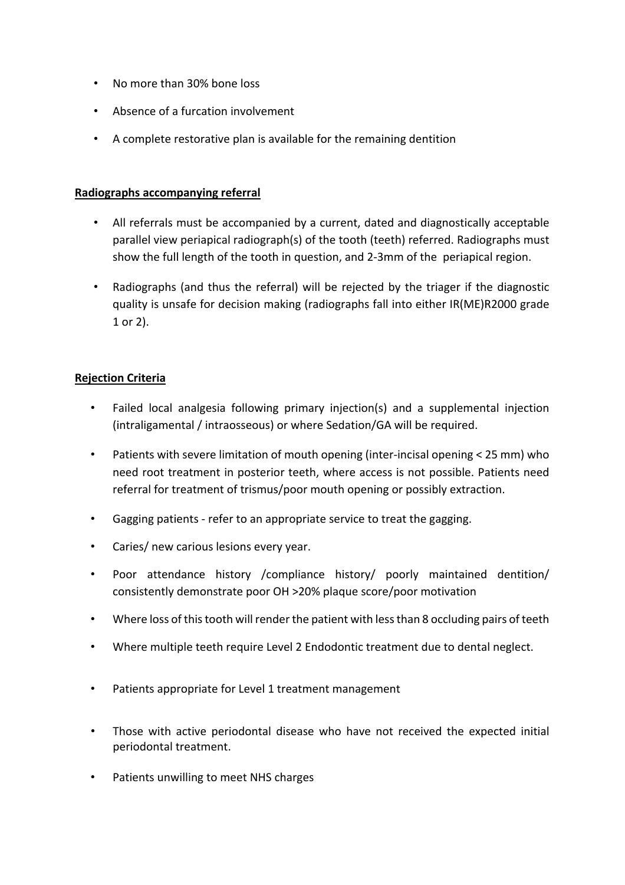- No more than 30% bone loss
- Absence of a furcation involvement
- A complete restorative plan is available for the remaining dentition

### **Radiographs accompanying referral**

- All referrals must be accompanied by a current, dated and diagnostically acceptable parallel view periapical radiograph(s) of the tooth (teeth) referred. Radiographs must show the full length of the tooth in question, and 2-3mm of the periapical region.
- Radiographs (and thus the referral) will be rejected by the triager if the diagnostic quality is unsafe for decision making (radiographs fall into either IR(ME)R2000 grade 1 or 2).

### **Rejection Criteria**

- Failed local analgesia following primary injection(s) and a supplemental injection (intraligamental / intraosseous) or where Sedation/GA will be required.
- Patients with severe limitation of mouth opening (inter-incisal opening < 25 mm) who need root treatment in posterior teeth, where access is not possible. Patients need referral for treatment of trismus/poor mouth opening or possibly extraction.
- Gagging patients refer to an appropriate service to treat the gagging.
- Caries/ new carious lesions every year.
- Poor attendance history /compliance history/ poorly maintained dentition/ consistently demonstrate poor OH >20% plaque score/poor motivation
- Where loss of this tooth will render the patient with less than 8 occluding pairs of teeth
- Where multiple teeth require Level 2 Endodontic treatment due to dental neglect.
- Patients appropriate for Level 1 treatment management
- Those with active periodontal disease who have not received the expected initial periodontal treatment.
- Patients unwilling to meet NHS charges